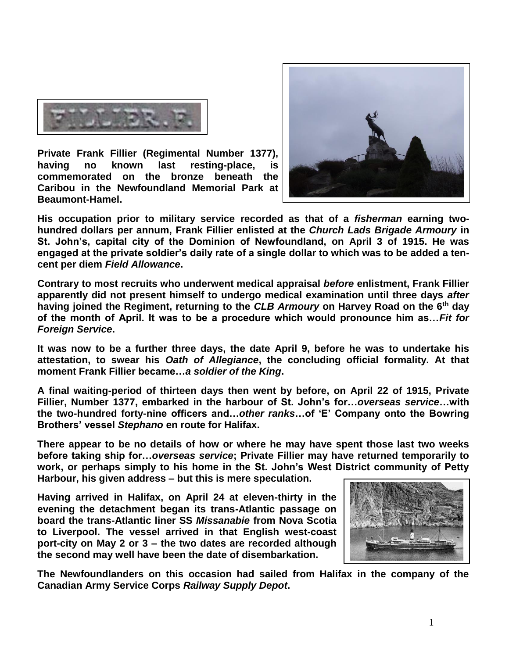

**Private Frank Fillier (Regimental Number 1377), having no known last resting-place, is commemorated on the bronze beneath the Caribou in the Newfoundland Memorial Park at Beaumont-Hamel.**



**His occupation prior to military service recorded as that of a** *fisherman* **earning twohundred dollars per annum, Frank Fillier enlisted at the** *Church Lads Brigade Armoury* **in St. John's, capital city of the Dominion of Newfoundland, on April 3 of 1915. He was engaged at the private soldier's daily rate of a single dollar to which was to be added a tencent per diem** *Field Allowance***.**

**Contrary to most recruits who underwent medical appraisal** *before* **enlistment, Frank Fillier apparently did not present himself to undergo medical examination until three days** *after* **having joined the Regiment, returning to the** *CLB Armoury* **on Harvey Road on the 6th day of the month of April. It was to be a procedure which would pronounce him as…***Fit for Foreign Service***.** 

**It was now to be a further three days, the date April 9, before he was to undertake his attestation, to swear his** *Oath of Allegiance***, the concluding official formality. At that moment Frank Fillier became…***a soldier of the King***.**

**A final waiting-period of thirteen days then went by before, on April 22 of 1915, Private Fillier, Number 1377, embarked in the harbour of St. John's for…***overseas service***…with the two-hundred forty-nine officers and…***other ranks***…of 'E' Company onto the Bowring Brothers' vessel** *Stephano* **en route for Halifax.** 

**There appear to be no details of how or where he may have spent those last two weeks before taking ship for…***overseas service***; Private Fillier may have returned temporarily to work, or perhaps simply to his home in the St. John's West District community of Petty Harbour, his given address – but this is mere speculation.** 

**Having arrived in Halifax, on April 24 at eleven-thirty in the evening the detachment began its trans-Atlantic passage on board the trans-Atlantic liner SS** *Missanabie* **from Nova Scotia to Liverpool. The vessel arrived in that English west-coast port-city on May 2 or 3 – the two dates are recorded although the second may well have been the date of disembarkation.** 



**The Newfoundlanders on this occasion had sailed from Halifax in the company of the Canadian Army Service Corps** *Railway Supply Depot***.**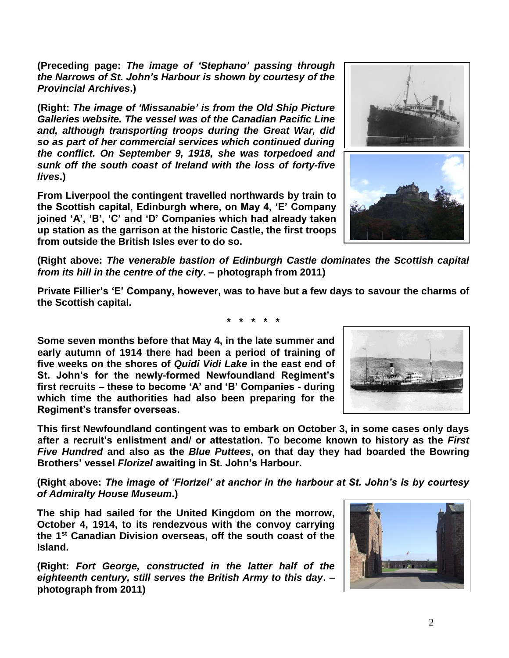2

**(Preceding page:** *The image of 'Stephano' passing through the Narrows of St. John's Harbour is shown by courtesy of the Provincial Archives***.)**

**(Right:** *The image of 'Missanabie' is from the Old Ship Picture Galleries website. The vessel was of the Canadian Pacific Line and, although transporting troops during the Great War, did so as part of her commercial services which continued during the conflict. On September 9, 1918, she was torpedoed and sunk off the south coast of Ireland with the loss of forty-five lives***.)**

**From Liverpool the contingent travelled northwards by train to the Scottish capital, Edinburgh where, on May 4, 'E' Company joined 'A', 'B', 'C' and 'D' Companies which had already taken up station as the garrison at the historic Castle, the first troops from outside the British Isles ever to do so.**

**(Right above:** *The venerable bastion of Edinburgh Castle dominates the Scottish capital from its hill in the centre of the city***. – photograph from 2011)**

**Private Fillier's 'E' Company, however, was to have but a few days to savour the charms of the Scottish capital.**

**\* \* \* \* \***

**Some seven months before that May 4, in the late summer and early autumn of 1914 there had been a period of training of five weeks on the shores of** *Quidi Vidi Lake* **in the east end of St. John's for the newly-formed Newfoundland Regiment's first recruits – these to become 'A' and 'B' Companies - during which time the authorities had also been preparing for the Regiment's transfer overseas.**

**This first Newfoundland contingent was to embark on October 3, in some cases only days after a recruit's enlistment and/ or attestation. To become known to history as the** *First Five Hundred* **and also as the** *Blue Puttees***, on that day they had boarded the Bowring Brothers' vessel** *Florizel* **awaiting in St. John's Harbour.**

**(Right above:** *The image of 'Florizel' at anchor in the harbour at St. John's is by courtesy of Admiralty House Museum***.)**

**The ship had sailed for the United Kingdom on the morrow, October 4, 1914, to its rendezvous with the convoy carrying the 1st Canadian Division overseas, off the south coast of the Island.** 

**(Right:** *Fort George, constructed in the latter half of the eighteenth century, still serves the British Army to this day***. – photograph from 2011)**





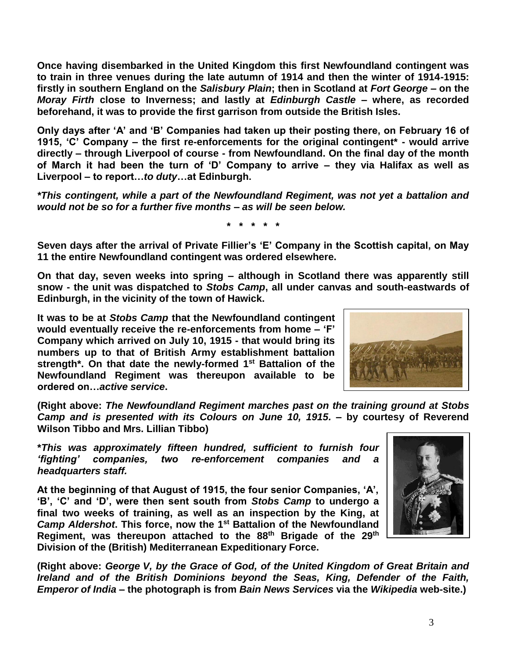**Once having disembarked in the United Kingdom this first Newfoundland contingent was to train in three venues during the late autumn of 1914 and then the winter of 1914-1915: firstly in southern England on the** *Salisbury Plain***; then in Scotland at** *Fort George* **– on the**  *Moray Firth* **close to Inverness; and lastly at** *Edinburgh Castle* **– where, as recorded beforehand, it was to provide the first garrison from outside the British Isles.** 

**Only days after 'A' and 'B' Companies had taken up their posting there, on February 16 of 1915, 'C' Company – the first re-enforcements for the original contingent\* - would arrive directly – through Liverpool of course - from Newfoundland. On the final day of the month of March it had been the turn of 'D' Company to arrive – they via Halifax as well as Liverpool – to report…***to duty***…at Edinburgh.**

*\*This contingent, while a part of the Newfoundland Regiment, was not yet a battalion and would not be so for a further five months – as will be seen below.*

**\* \* \* \* \***

**Seven days after the arrival of Private Fillier's 'E' Company in the Scottish capital, on May 11 the entire Newfoundland contingent was ordered elsewhere.** 

**On that day, seven weeks into spring – although in Scotland there was apparently still snow - the unit was dispatched to** *Stobs Camp***, all under canvas and south-eastwards of Edinburgh, in the vicinity of the town of Hawick.**

**It was to be at** *Stobs Camp* **that the Newfoundland contingent would eventually receive the re-enforcements from home – 'F' Company which arrived on July 10, 1915 - that would bring its numbers up to that of British Army establishment battalion strength\*. On that date the newly-formed 1st Battalion of the Newfoundland Regiment was thereupon available to be ordered on…***active service***.**



**(Right above:** *The Newfoundland Regiment marches past on the training ground at Stobs Camp and is presented with its Colours on June 10, 1915.* **– by courtesy of Reverend Wilson Tibbo and Mrs. Lillian Tibbo)**

**\****This was approximately fifteen hundred, sufficient to furnish four 'fighting' companies, two re-enforcement companies and a headquarters staff.*

**At the beginning of that August of 1915, the four senior Companies, 'A', 'B', 'C' and 'D', were then sent south from** *Stobs Camp* **to undergo a final two weeks of training, as well as an inspection by the King, at**  *Camp Aldershot***. This force, now the 1st Battalion of the Newfoundland Regiment, was thereupon attached to the 88th Brigade of the 29th Division of the (British) Mediterranean Expeditionary Force.**



**(Right above:** *George V, by the Grace of God, of the United Kingdom of Great Britain and Ireland and of the British Dominions beyond the Seas, King, Defender of the Faith, Emperor of India* **– the photograph is from** *Bain News Services* **via the** *Wikipedia* **web-site.)**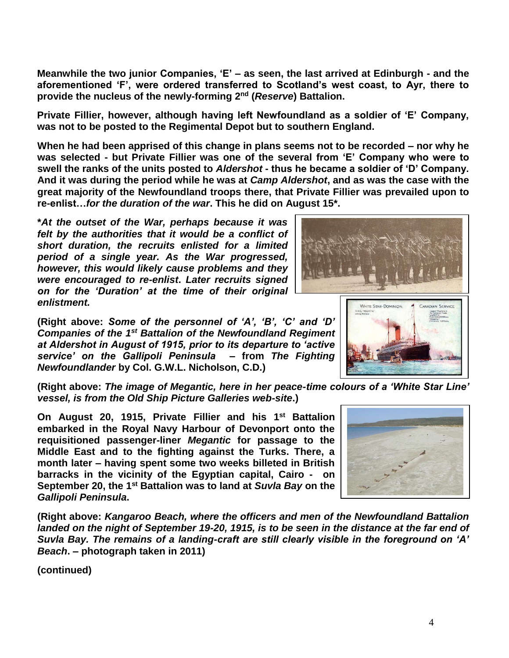**Meanwhile the two junior Companies, 'E' – as seen, the last arrived at Edinburgh - and the aforementioned 'F', were ordered transferred to Scotland's west coast, to Ayr, there to provide the nucleus of the newly-forming 2nd (***Reserve***) Battalion.**

**Private Fillier, however, although having left Newfoundland as a soldier of 'E' Company, was not to be posted to the Regimental Depot but to southern England.**

**When he had been apprised of this change in plans seems not to be recorded – nor why he was selected - but Private Fillier was one of the several from 'E' Company who were to swell the ranks of the units posted to** *Aldershot* **- thus he became a soldier of 'D' Company. And it was during the period while he was at** *Camp Aldershot***, and as was the case with the great majority of the Newfoundland troops there, that Private Fillier was prevailed upon to re-enlist…***for the duration of the war***. This he did on August 15\*.**

**\****At the outset of the War, perhaps because it was felt by the authorities that it would be a conflict of short duration, the recruits enlisted for a limited period of a single year. As the War progressed, however, this would likely cause problems and they were encouraged to re-enlist***.** *Later recruits signed on for the 'Duration' at the time of their original enlistment.*

**(Right above:** *Some of the personnel of 'A', 'B', 'C' and 'D' Companies of the 1st Battalion of the Newfoundland Regiment at Aldershot in August of 1915, prior to its departure to 'active service' on the Gallipoli Peninsula* **– from** *The Fighting Newfoundlander* **by Col. G.W.L. Nicholson, C.D.)**

**(Right above:** *The image of Megantic, here in her peace-time colours of a 'White Star Line' vessel, is from the Old Ship Picture Galleries web-site***.)**

**On August 20, 1915, Private Fillier and his 1st Battalion embarked in the Royal Navy Harbour of Devonport onto the requisitioned passenger-liner** *Megantic* **for passage to the Middle East and to the fighting against the Turks. There, a month later – having spent some two weeks billeted in British barracks in the vicinity of the Egyptian capital, Cairo - on September 20, the 1st Battalion was to land at** *Suvla Bay* **on the**  *Gallipoli Peninsula***.**

**(Right above:** *Kangaroo Beach, where the officers and men of the Newfoundland Battalion landed on the night of September 19-20, 1915, is to be seen in the distance at the far end of Suvla Bay. The remains of a landing-craft are still clearly visible in the foreground on 'A' Beach***. – photograph taken in 2011)**

**(continued)**



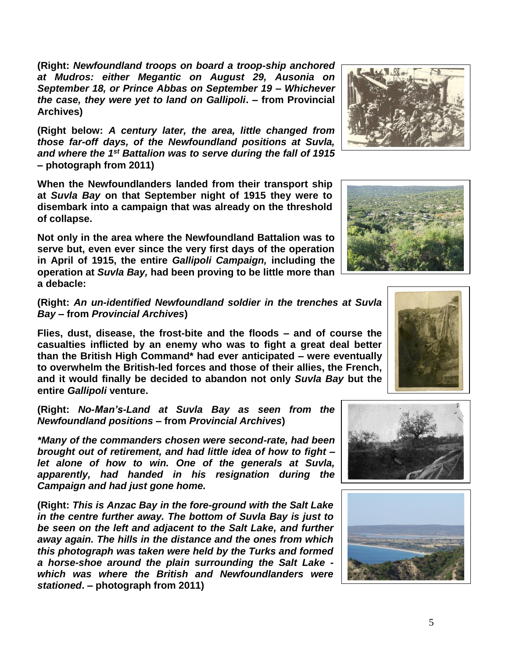**(Right:** *Newfoundland troops on board a troop-ship anchored at Mudros: either Megantic on August 29, Ausonia on September 18, or Prince Abbas on September 19 – Whichever the case, they were yet to land on Gallipoli***. – from Provincial Archives)**

**(Right below:** *A century later, the area, little changed from those far-off days, of the Newfoundland positions at Suvla, and where the 1st Battalion was to serve during the fall of 1915*  **– photograph from 2011)**

**When the Newfoundlanders landed from their transport ship at** *Suvla Bay* **on that September night of 1915 they were to disembark into a campaign that was already on the threshold of collapse.**

**Not only in the area where the Newfoundland Battalion was to serve but, even ever since the very first days of the operation in April of 1915, the entire** *Gallipoli Campaign,* **including the operation at** *Suvla Bay,* **had been proving to be little more than a debacle:** 

**(Right:** *An un-identified Newfoundland soldier in the trenches at Suvla Bay –* **from** *Provincial Archives***)**

**Flies, dust, disease, the frost-bite and the floods – and of course the casualties inflicted by an enemy who was to fight a great deal better than the British High Command\* had ever anticipated – were eventually to overwhelm the British-led forces and those of their allies, the French, and it would finally be decided to abandon not only** *Suvla Bay* **but the entire** *Gallipoli* **venture.**

**(Right:** *No-Man's-Land at Suvla Bay as seen from the Newfoundland positions* **– from** *Provincial Archives***)**

*\*Many of the commanders chosen were second-rate, had been brought out of retirement, and had little idea of how to fight – let alone of how to win. One of the generals at Suvla, apparently, had handed in his resignation during the Campaign and had just gone home.*

**(Right:** *This is Anzac Bay in the fore-ground with the Salt Lake in the centre further away. The bottom of Suvla Bay is just to be seen on the left and adjacent to the Salt Lake, and further away again. The hills in the distance and the ones from which this photograph was taken were held by the Turks and formed a horse-shoe around the plain surrounding the Salt Lake which was where the British and Newfoundlanders were stationed***. – photograph from 2011)**









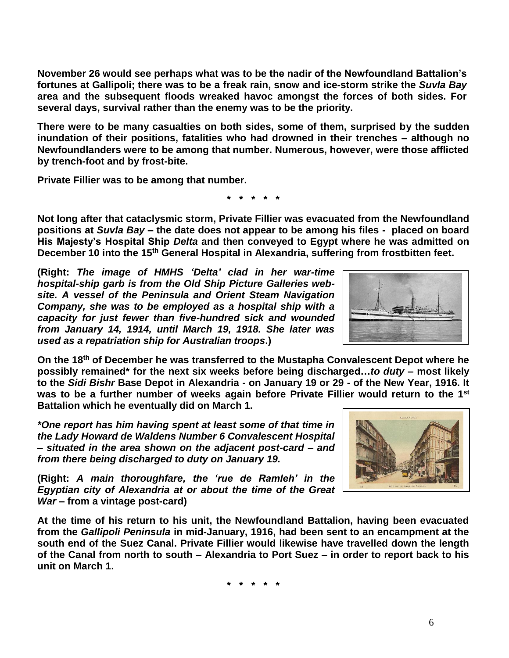**(Right:** *The image of HMHS 'Delta' clad in her war-time hospital-ship garb is from the Old Ship Picture Galleries website. A vessel of the Peninsula and Orient Steam Navigation Company, she was to be employed as a hospital ship with a capacity for just fewer than five-hundred sick and wounded from January 14, 1914, until March 19, 1918. She later was used as a repatriation ship for Australian troops***.)**

**On the 18 th of December he was transferred to the Mustapha Convalescent Depot where he possibly remained\* for the next six weeks before being discharged…***to duty* **– most likely to the** *Sidi Bishr* **Base Depot in Alexandria - on January 19 or 29 - of the New Year, 1916. It**  was to be a further number of weeks again before Private Fillier would return to the 1<sup>st</sup> **Battalion which he eventually did on March 1.**

*\*One report has him having spent at least some of that time in the Lady Howard de Waldens Number 6 Convalescent Hospital – situated in the area shown on the adjacent post-card – and from there being discharged to duty on January 19.*

**(Right:** *A main thoroughfare, the 'rue de Ramleh' in the Egyptian city of Alexandria at or about the time of the Great War* **– from a vintage post-card)**

**At the time of his return to his unit, the Newfoundland Battalion, having been evacuated from the** *Gallipoli Peninsula* **in mid-January, 1916, had been sent to an encampment at the south end of the Suez Canal. Private Fillier would likewise have travelled down the length of the Canal from north to south – Alexandria to Port Suez – in order to report back to his unit on March 1.**

**\* \* \* \* \***

**November 26 would see perhaps what was to be the nadir of the Newfoundland Battalion's fortunes at Gallipoli; there was to be a freak rain, snow and ice-storm strike the** *Suvla Bay* **area and the subsequent floods wreaked havoc amongst the forces of both sides. For several days, survival rather than the enemy was to be the priority.**

**There were to be many casualties on both sides, some of them, surprised by the sudden inundation of their positions, fatalities who had drowned in their trenches – although no Newfoundlanders were to be among that number. Numerous, however, were those afflicted by trench-foot and by frost-bite.**

**Private Fillier was to be among that number.**

**\* \* \* \* \***

**Not long after that cataclysmic storm, Private Fillier was evacuated from the Newfoundland positions at** *Suvla Bay* **– the date does not appear to be among his files - placed on board His Majesty's Hospital Ship** *Delta* **and then conveyed to Egypt where he was admitted on December 10 into the 15th General Hospital in Alexandria, suffering from frostbitten feet.**

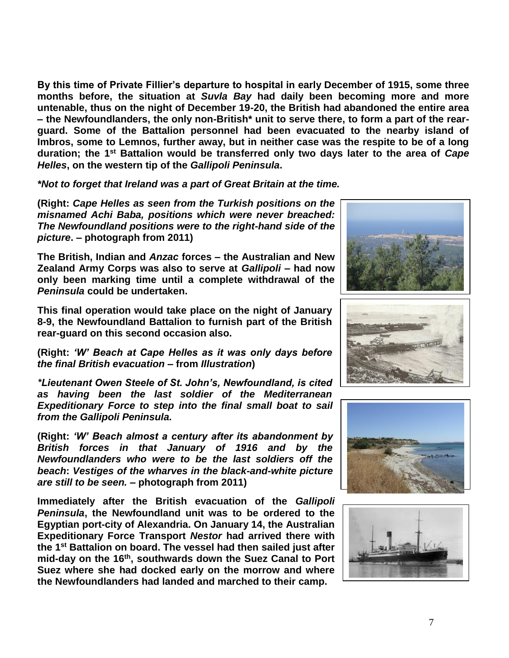**By this time of Private Fillier's departure to hospital in early December of 1915, some three months before, the situation at** *Suvla Bay* **had daily been becoming more and more untenable, thus on the night of December 19-20, the British had abandoned the entire area – the Newfoundlanders, the only non-British\* unit to serve there, to form a part of the rearguard. Some of the Battalion personnel had been evacuated to the nearby island of Imbros, some to Lemnos, further away, but in neither case was the respite to be of a long duration; the 1st Battalion would be transferred only two days later to the area of** *Cape Helles***, on the western tip of the** *Gallipoli Peninsula***.**

*\*Not to forget that Ireland was a part of Great Britain at the time.*

**(Right:** *Cape Helles as seen from the Turkish positions on the misnamed Achi Baba, positions which were never breached: The Newfoundland positions were to the right-hand side of the picture***. – photograph from 2011)**

**The British, Indian and** *Anzac* **forces – the Australian and New Zealand Army Corps was also to serve at** *Gallipoli* **– had now only been marking time until a complete withdrawal of the**  *Peninsula* **could be undertaken.** 

**This final operation would take place on the night of January 8-9, the Newfoundland Battalion to furnish part of the British rear-guard on this second occasion also.**

**(Right:** *'W' Beach at Cape Helles as it was only days before the final British evacuation* **– from** *Illustration***)**

*\*Lieutenant Owen Steele of St. John's, Newfoundland, is cited as having been the last soldier of the Mediterranean Expeditionary Force to step into the final small boat to sail from the Gallipoli Peninsula.*

**(Right:** *'W' Beach almost a century after its abandonment by British forces in that January of 1916 and by the Newfoundlanders who were to be the last soldiers off the beach***:** *Vestiges of the wharves in the black-and-white picture are still to be seen.* **– photograph from 2011)**

**Immediately after the British evacuation of the** *Gallipoli Peninsula***, the Newfoundland unit was to be ordered to the Egyptian port-city of Alexandria. On January 14, the Australian Expeditionary Force Transport** *Nestor* **had arrived there with the 1st Battalion on board. The vessel had then sailed just after mid-day on the 16th , southwards down the Suez Canal to Port Suez where she had docked early on the morrow and where the Newfoundlanders had landed and marched to their camp.**







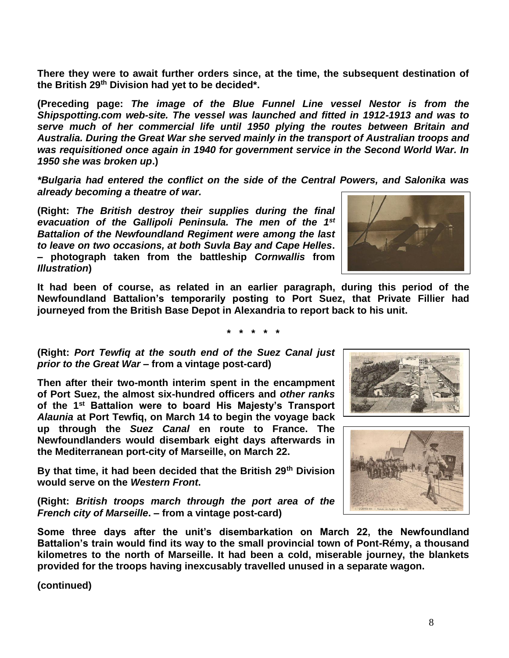**There they were to await further orders since, at the time, the subsequent destination of the British 29th Division had yet to be decided\*.**

**(Preceding page:** *The image of the Blue Funnel Line vessel Nestor is from the Shipspotting.com web-site. The vessel was launched and fitted in 1912-1913 and was to serve much of her commercial life until 1950 plying the routes between Britain and Australia. During the Great War she served mainly in the transport of Australian troops and was requisitioned once again in 1940 for government service in the Second World War. In 1950 she was broken up***.)**

*\*Bulgaria had entered the conflict on the side of the Central Powers, and Salonika was already becoming a theatre of war.*

**(Right:** *The British destroy their supplies during the final evacuation of the Gallipoli Peninsula. The men of the 1st Battalion of the Newfoundland Regiment were among the last to leave on two occasions, at both Suvla Bay and Cape Helles***. – photograph taken from the battleship** *Cornwallis* **from**  *Illustration***)**



**It had been of course, as related in an earlier paragraph, during this period of the Newfoundland Battalion's temporarily posting to Port Suez, that Private Fillier had journeyed from the British Base Depot in Alexandria to report back to his unit.**

**\* \* \* \* \***

**(Right:** *Port Tewfiq at the south end of the Suez Canal just prior to the Great War* **– from a vintage post-card)**

**Then after their two-month interim spent in the encampment of Port Suez, the almost six-hundred officers and** *other ranks* **of the 1st Battalion were to board His Majesty's Transport**  *Alaunia* **at Port Tewfiq, on March 14 to begin the voyage back up through the** *Suez Canal* **en route to France. The Newfoundlanders would disembark eight days afterwards in the Mediterranean port-city of Marseille, on March 22.**

**By that time, it had been decided that the British 29th Division would serve on the** *Western Front***.**

**(Right:** *British troops march through the port area of the French city of Marseille***. – from a vintage post-card)**

**Some three days after the unit's disembarkation on March 22, the Newfoundland Battalion's train would find its way to the small provincial town of Pont-Rémy, a thousand kilometres to the north of Marseille. It had been a cold, miserable journey, the blankets provided for the troops having inexcusably travelled unused in a separate wagon.**

**(continued)**



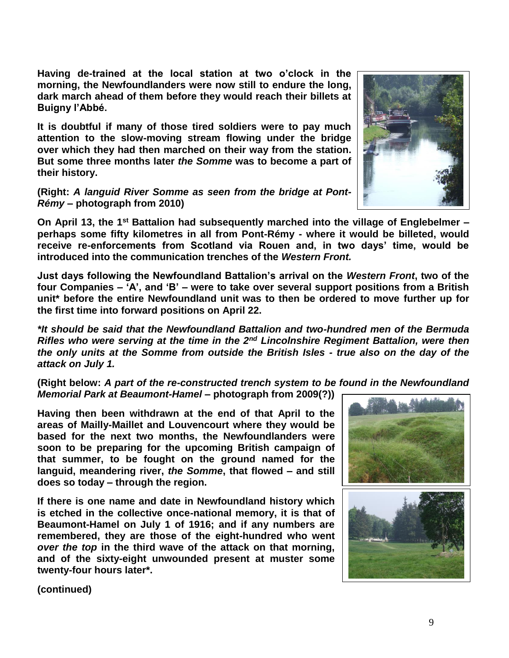**Having de-trained at the local station at two o'clock in the morning, the Newfoundlanders were now still to endure the long, dark march ahead of them before they would reach their billets at Buigny l'Abbé.**

**It is doubtful if many of those tired soldiers were to pay much attention to the slow-moving stream flowing under the bridge over which they had then marched on their way from the station. But some three months later** *the Somme* **was to become a part of their history.**

**(Right:** *A languid River Somme as seen from the bridge at Pont-Rémy* **– photograph from 2010)**

**On April 13, the 1st Battalion had subsequently marched into the village of Englebelmer – perhaps some fifty kilometres in all from Pont-Rémy - where it would be billeted, would receive re-enforcements from Scotland via Rouen and, in two days' time, would be introduced into the communication trenches of the** *Western Front.*

**Just days following the Newfoundland Battalion's arrival on the** *Western Front***, two of the four Companies – 'A', and 'B' – were to take over several support positions from a British unit\* before the entire Newfoundland unit was to then be ordered to move further up for the first time into forward positions on April 22.**

*\*It should be said that the Newfoundland Battalion and two-hundred men of the Bermuda Rifles who were serving at the time in the 2nd Lincolnshire Regiment Battalion, were then the only units at the Somme from outside the British Isles - true also on the day of the attack on July 1.*

**(Right below:** *A part of the re-constructed trench system to be found in the Newfoundland Memorial Park at Beaumont-Hamel* **– photograph from 2009(?))**

**Having then been withdrawn at the end of that April to the areas of Mailly-Maillet and Louvencourt where they would be based for the next two months, the Newfoundlanders were soon to be preparing for the upcoming British campaign of that summer, to be fought on the ground named for the languid, meandering river,** *the Somme***, that flowed – and still does so today – through the region.** 

**If there is one name and date in Newfoundland history which is etched in the collective once-national memory, it is that of Beaumont-Hamel on July 1 of 1916; and if any numbers are remembered, they are those of the eight-hundred who went**  *over the top* **in the third wave of the attack on that morning, and of the sixty-eight unwounded present at muster some twenty-four hours later\*.**



**(continued)**

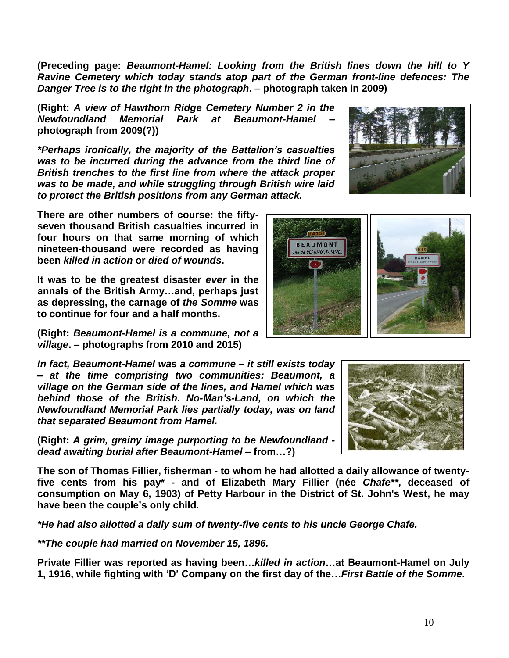**(Preceding page:** *Beaumont-Hamel: Looking from the British lines down the hill to Y Ravine Cemetery which today stands atop part of the German front-line defences: The Danger Tree is to the right in the photograph***. – photograph taken in 2009)**

**(Right:** *A view of Hawthorn Ridge Cemetery Number 2 in the Newfoundland Memorial Park at Beaumont-Hamel* **– photograph from 2009(?))**

*\*Perhaps ironically, the majority of the Battalion's casualties was to be incurred during the advance from the third line of British trenches to the first line from where the attack proper was to be made, and while struggling through British wire laid to protect the British positions from any German attack.*

**There are other numbers of course: the fiftyseven thousand British casualties incurred in four hours on that same morning of which nineteen-thousand were recorded as having been** *killed in action* **or** *died of wounds***.** 

**It was to be the greatest disaster** *ever* **in the annals of the British Army…and, perhaps just as depressing, the carnage of** *the Somme* **was to continue for four and a half months.**

**(Right:** *Beaumont-Hamel is a commune, not a village***. – photographs from 2010 and 2015)**

*In fact, Beaumont-Hamel was a commune – it still exists today – at the time comprising two communities: Beaumont, a village on the German side of the lines, and Hamel which was behind those of the British. No-Man's-Land, on which the Newfoundland Memorial Park lies partially today, was on land that separated Beaumont from Hamel.* 

**(Right:** *A grim, grainy image purporting to be Newfoundland dead awaiting burial after Beaumont-Hamel –* **from…?)**

**The son of Thomas Fillier, fisherman - to whom he had allotted a daily allowance of twentyfive cents from his pay\* - and of Elizabeth Mary Fillier (née** *Chafe\*\****, deceased of consumption on May 6, 1903) of Petty Harbour in the District of St. John's West, he may have been the couple's only child.**

*\*He had also allotted a daily sum of twenty-five cents to his uncle George Chafe.*

*\*\*The couple had married on November 15, 1896.*

**Private Fillier was reported as having been…***killed in action***…at Beaumont-Hamel on July 1, 1916, while fighting with 'D' Company on the first day of the…***First Battle of the Somme***.**